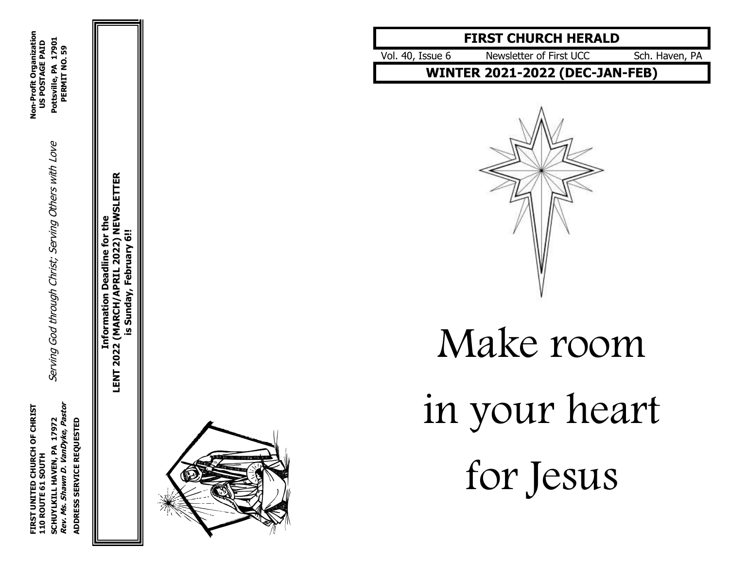**FIRST UNITED CHURCH OF CHRIST Non-Profit Organization Rev. Ms. Shawn D. VanDyke, Pastor PERMIT NO. 59** SCHUYLKILL HAVEN, PA 17972<br>*Rev. Ms. Shawn D. VanDyke, Pastor* FIRST UNITED CHURCH OF CHRIST<br>110 ROUTE 61 SOUTH ADDRESS SERVICE REQUESTED **ADDRESS SERVICE REQUESTED**

**SCHUYLKILL HAVEN, PA 17972** Serving God through Christ; Serving Others with Love **Pottsville, PA 17901 110 ROUTE 61 SOUTH US POSTAGE PAID** Serving God through Christ; Serving Others with Love

**LENT 2022 (MARCH/APRIL 2022) NEWSLETTER LENT 2022 (MARCH/APRIL 2022) NEWSLETTER** Information Deadline for the **Information Deadline for the** is Sunday, February 6!! **is Sunday, February 6!!**



# **FIRST CHURCH HERALD**

Vol . 40, Issue

Newsletter of First UCC Sch. Haven, PA

**WINTER 2021 -2022 (DEC -JAN -FEB)**



Make room in you r heart for Jesus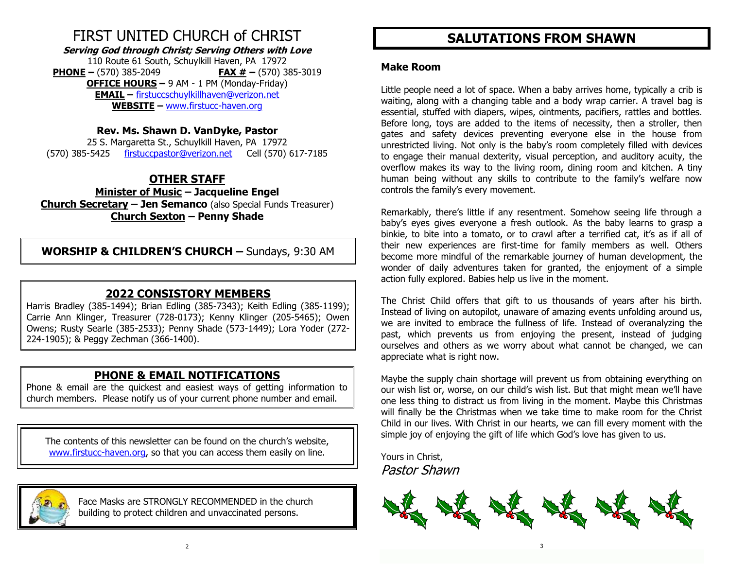# FIRST UNITED CHURCH of CHRIST

**Serving God through Christ; Serving Others with Love**

110 Route 61 South, Schuylkill Haven, PA 17972 **PHONE –** (570) 385-2049 **FAX # –** (570) 385-3019 **OFFICE HOURS –** 9 AM - 1 PM (Monday-Friday) **EMAIL –** [firstuccschuylkillhaven@verizon.net](mailto:firstuccschuylkillhaven@verizon.net) **WEBSITE –** [www.firstucc-haven.org](http://www.firstucc-haven.org/)

### **Rev. Ms. Shawn D. VanDyke, Pastor**

25 S. Margaretta St., Schuylkill Haven, PA 17972 (570) 385-5425 [firstuccpastor@verizon.net](mailto:firstuccpastor@verizon.net) Cell (570) 617-7185

# **OTHER STAFF**

**Minister of Music – Jacqueline Engel Church Secretary – Jen Semanco** (also Special Funds Treasurer) **Church Sexton – Penny Shade**

**WORSHIP & CHILDREN'S CHURCH –** Sundays, 9:30 AM

# **2022 CONSISTORY MEMBERS**

Harris Bradley (385-1494); Brian Edling (385-7343); Keith Edling (385-1199); Carrie Ann Klinger, Treasurer (728-0173); Kenny Klinger (205-5465); Owen Owens; Rusty Searle (385-2533); Penny Shade (573-1449); Lora Yoder (272- 224-1905); & Peggy Zechman (366-1400).

# **PHONE & EMAIL NOTIFICATIONS**

Phone & email are the quickest and easiest ways of getting information to church members. Please notify us of your current phone number and email.

The contents of this newsletter can be found on the church's website, [www.firstucc-haven.org,](http://www.firstucc-haven.org/) so that you can access them easily on line.



 Face Masks are STRONGLY RECOMMENDED in the church building to protect children and unvaccinated persons.

# **SALUTATIONS FROM SHAWN**

#### **Make Room**

Little people need a lot of space. When a baby arrives home, typically a crib is waiting, along with a changing table and a body wrap carrier. A travel bag is essential, stuffed with diapers, wipes, ointments, pacifiers, rattles and bottles. Before long, toys are added to the items of necessity, then a stroller, then gates and safety devices preventing everyone else in the house from unrestricted living. Not only is the baby's room completely filled with devices to engage their manual dexterity, visual perception, and auditory acuity, the overflow makes its way to the living room, dining room and kitchen. A tiny human being without any skills to contribute to the family's welfare now controls the family's every movement.

Remarkably, there's little if any resentment. Somehow seeing life through a baby's eyes gives everyone a fresh outlook. As the baby learns to grasp a binkie, to bite into a tomato, or to crawl after a terrified cat, it's as if all of their new experiences are first-time for family members as well. Others become more mindful of the remarkable journey of human development, the wonder of daily adventures taken for granted, the enjoyment of a simple action fully explored. Babies help us live in the moment.

The Christ Child offers that gift to us thousands of years after his birth. Instead of living on autopilot, unaware of amazing events unfolding around us, we are invited to embrace the fullness of life. Instead of overanalyzing the past, which prevents us from enjoying the present, instead of judging ourselves and others as we worry about what cannot be changed, we can appreciate what is right now.

Maybe the supply chain shortage will prevent us from obtaining everything on our wish list or, worse, on our child's wish list. But that might mean we'll have one less thing to distract us from living in the moment. Maybe this Christmas will finally be the Christmas when we take time to make room for the Christ Child in our lives. With Christ in our hearts, we can fill every moment with the simple joy of enjoying the gift of life which God's love has given to us.

Yours in Christ, Pastor Shawn

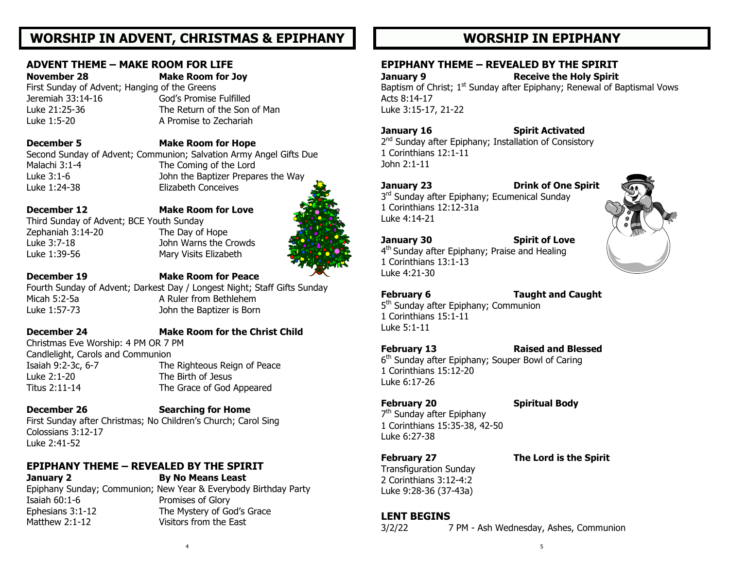# **WORSHIP IN ADVENT, CHRISTMAS & EPIPHANY**

#### **ADVENT THEME – MAKE ROOM FOR LIFE**

### **November 28 Make Room for Joy**

First Sunday of Advent; Hanging of the Greens Luke 21:25-36 The Return of the Son of Man

# Jeremiah 33:14-16 God's Promise Fulfilled

Luke 1:5-20 A Promise to Zechariah

#### **December 5 Make Room for Hope**

Second Sunday of Advent; Communion; Salvation Army Angel Gifts Due Malachi 3:1-4 The Coming of the Lord Luke 3:1-6 John the Baptizer Prepares the Way Luke 1:24-38 Elizabeth Conceives

Third Sunday of Advent; BCE Youth Sunday Zephaniah 3:14-20 The Day of Hope Luke 3:7-18 John Warns the Crowds Luke 1:39-56 Mary Visits Elizabeth

**December 12 Make Room for Love**

#### **December 19 Make Room for Peace**

Fourth Sunday of Advent; Darkest Day / Longest Night; Staff Gifts Sunday Micah 5:2-5a A Ruler from Bethlehem Luke 1:57-73 John the Baptizer is Born

### **December 24 Make Room for the Christ Child**

Christmas Eve Worship: 4 PM OR 7 PM Candlelight, Carols and Communion Isaiah 9:2-3c, 6-7 The Righteous Reign of Peace Luke 2:1-20 The Birth of Jesus Titus 2:11-14 The Grace of God Appeared

### **December 26 Searching for Home**

First Sunday after Christmas; No Children's Church; Carol Sing Colossians 3:12-17 Luke 2:41-52

### **EPIPHANY THEME – REVEALED BY THE SPIRIT**

**January 2 By No Means Least** Epiphany Sunday; Communion; New Year & Everybody Birthday Party Isaiah 60:1-6 Promises of Glory Ephesians 3:1-12 The Mystery of God's Grace Matthew 2:1-12 Visitors from the East

# **WORSHIP IN EPIPHANY**

### **EPIPHANY THEME – REVEALED BY THE SPIRIT**

**January 9 Receive the Holy Spirit**  Baptism of Christ; 1<sup>st</sup> Sunday after Epiphany; Renewal of Baptismal Vows Acts 8:14-17 Luke 3:15-17, 21-22

#### **January 16 Spirit Activated**

2<sup>nd</sup> Sunday after Epiphany; Installation of Consistory 1 Corinthians 12:1-11 John 2:1-11

#### **January 23 Drink of One Spirit**

3<sup>rd</sup> Sunday after Epiphany; Ecumenical Sunday 1 Corinthians 12:12-31a Luke 4:14-21

#### **January 30 Spirit of Love**

4<sup>th</sup> Sunday after Epiphany; Praise and Healing 1 Corinthians 13:1-13 Luke 4:21-30

#### **February 6 Taught and Caught**

5<sup>th</sup> Sunday after Epiphany; Communion 1 Corinthians 15:1-11 Luke 5:1-11

**February 13 Raised and Blessed**

6<sup>th</sup> Sunday after Epiphany; Souper Bowl of Caring 1 Corinthians 15:12-20 Luke 6:17-26

#### **February 20 Spiritual Body**

7<sup>th</sup> Sunday after Epiphany 1 Corinthians 15:35-38, 42-50 Luke 6:27-38

### **February 27 The Lord is the Spirit**

Transfiguration Sunday 2 Corinthians 3:12-4:2 Luke 9:28-36 (37-43a)

### **LENT BEGINS**

3/2/22 7 PM - Ash Wednesday, Ashes, Communion

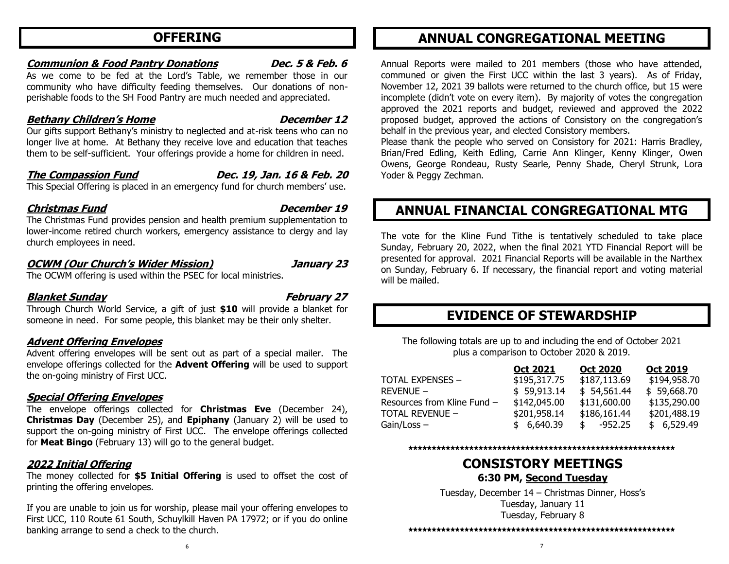# **OFFERING**

#### **Communion & Food Pantry Donations Dec. 5 & Feb. 6**

As we come to be fed at the Lord's Table, we remember those in our community who have difficulty feeding themselves. Our donations of nonperishable foods to the SH Food Pantry are much needed and appreciated.

### **Bethany Children's Home December 12**

Our gifts support Bethany's ministry to neglected and at-risk teens who can no longer live at home. At Bethany they receive love and education that teaches them to be self-sufficient. Your offerings provide a home for children in need.

### **The Compassion Fund Dec. 19, Jan. 16 & Feb. 20**

This Special Offering is placed in an emergency fund for church members' use.

### **Christmas Fund December 19**

The Christmas Fund provides pension and health premium supplementation to lower-income retired church workers, emergency assistance to clergy and lay church employees in need.

#### **OCWM (Our Church's Wider Mission) January 23**

The OCWM offering is used within the PSEC for local ministries.

#### **Blanket Sunday February 27**

Through Church World Service, a gift of just **\$10** will provide a blanket for someone in need. For some people, this blanket may be their only shelter.

### **Advent Offering Envelopes**

Advent offering envelopes will be sent out as part of a special mailer. The envelope offerings collected for the **Advent Offering** will be used to support the on-going ministry of First UCC.

#### **Special Offering Envelopes**

The envelope offerings collected for **Christmas Eve** (December 24), **Christmas Day** (December 25), and **Epiphany** (January 2) will be used to support the on-going ministry of First UCC. The envelope offerings collected for **Meat Bingo** (February 13) will go to the general budget.

### **2022 Initial Offering**

The money collected for **\$5 Initial Offering** is used to offset the cost of printing the offering envelopes.

If you are unable to join us for worship, please mail your offering envelopes to First UCC, 110 Route 61 South, Schuylkill Haven PA 17972; or if you do online banking arrange to send a check to the church.

# **ANNUAL CONGREGATIONAL MEETING**

Annual Reports were mailed to 201 members (those who have attended, communed or given the First UCC within the last 3 years). As of Friday, November 12, 2021 39 ballots were returned to the church office, but 15 were incomplete (didn't vote on every item). By majority of votes the congregation approved the 2021 reports and budget, reviewed and approved the 2022 proposed budget, approved the actions of Consistory on the congregation's behalf in the previous year, and elected Consistory members.

Please thank the people who served on Consistory for 2021: Harris Bradley, Brian/Fred Edling, Keith Edling, Carrie Ann Klinger, Kenny Klinger, Owen Owens, George Rondeau, Rusty Searle, Penny Shade, Cheryl Strunk, Lora Yoder & Peggy Zechman.

# **ANNUAL FINANCIAL CONGREGATIONAL MTG**

The vote for the Kline Fund Tithe is tentatively scheduled to take place Sunday, February 20, 2022, when the final 2021 YTD Financial Report will be presented for approval. 2021 Financial Reports will be available in the Narthex on Sunday, February 6. If necessary, the financial report and voting material will be mailed.

# **EVIDENCE OF STEWARDSHIP**

The following totals are up to and including the end of October 2021 plus a comparison to October 2020 & 2019.

| <u>Oct 2021</u> | <u>Oct 2020</u> | <b>Oct 2019</b> |
|-----------------|-----------------|-----------------|
| \$195,317.75    | \$187,113.69    | \$194,958.70    |
| \$59,913.14     | \$54,561.44     | \$59,668.70     |
| \$142,045.00    | \$131,600.00    | \$135,290.00    |
| \$201,958.14    | \$186,161.44    | \$201,488.19    |
| \$6,640.39      | -952.25<br>\$   | \$6,529.49      |
|                 |                 |                 |

**\*\*\*\*\*\*\*\*\*\*\*\*\*\*\*\*\*\*\*\*\*\*\*\*\*\*\*\*\*\*\*\*\*\*\*\*\*\*\*\*\*\*\*\*\*\*\*\*\*\*\*\*\*\*\*\*\***

### **CONSISTORY MEETINGS 6:30 PM, Second Tuesday**

Tuesday, December 14 – Christmas Dinner, Hoss's Tuesday, January 11 Tuesday, February 8

#### **\*\*\*\*\*\*\*\*\*\*\*\*\*\*\*\*\*\*\*\*\*\*\*\*\*\*\*\*\*\*\*\*\*\*\*\*\*\*\*\*\*\*\*\*\*\*\*\*\*\*\*\*\*\*\*\*\***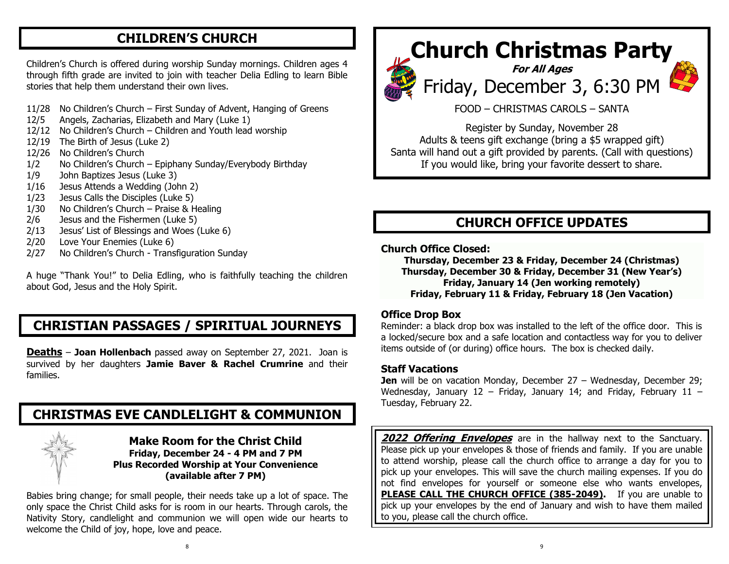# **CHILDREN'S CHURCH**

Children's Church is offered during worship Sunday mornings. Children ages 4 through fifth grade are invited to join with teacher Delia Edling to learn Bible stories that help them understand their own lives.

- 11/28 No Children's Church First Sunday of Advent, Hanging of Greens
- 12/5 Angels, Zacharias, Elizabeth and Mary (Luke 1)
- 12/12 No Children's Church Children and Youth lead worship
- 12/19 The Birth of Jesus (Luke 2)
- 12/26 No Children's Church
- 1/2 No Children's Church Epiphany Sunday/Everybody Birthday
- 1/9 John Baptizes Jesus (Luke 3)
- 1/16 Jesus Attends a Wedding (John 2)
- 1/23 Jesus Calls the Disciples (Luke 5)
- 1/30 No Children's Church Praise & Healing
- 2/6 Jesus and the Fishermen (Luke 5)
- 2/13 Jesus' List of Blessings and Woes (Luke 6)
- 2/20 Love Your Enemies (Luke 6)
- 2/27 No Children's Church Transfiguration Sunday

A huge "Thank You!" to Delia Edling, who is faithfully teaching the children about God, Jesus and the Holy Spirit.

# **CHRISTIAN PASSAGES / SPIRITUAL JOURNEYS**

**Deaths** – **Joan Hollenbach** passed away on September 27, 2021. Joan is survived by her daughters **Jamie Baver & Rachel Crumrine** and their families.

# **CHRISTMAS EVE CANDLELIGHT & COMMUNION**



#### **Make Room for the Christ Child Friday, December 24 - 4 PM and 7 PM Plus Recorded Worship at Your Convenience (available after 7 PM)**

Babies bring change; for small people, their needs take up a lot of space. The only space the Christ Child asks for is room in our hearts. Through carols, the Nativity Story, candlelight and communion we will open wide our hearts to welcome the Child of joy, hope, love and peace.

# **Church Christmas Party**







FOOD – CHRISTMAS CAROLS – SANTA

Register by Sunday, November 28 Adults & teens gift exchange (bring a \$5 wrapped gift) Santa will hand out a gift provided by parents. (Call with questions) If you would like, bring your favorite dessert to share.

# **CHURCH OFFICE UPDATES**

#### **Church Office Closed:**

**Thursday, December 23 & Friday, December 24 (Christmas) Thursday, December 30 & Friday, December 31 (New Year's) Friday, January 14 (Jen working remotely) Friday, February 11 & Friday, February 18 (Jen Vacation)**

#### **Office Drop Box**

Reminder: a black drop box was installed to the left of the office door. This is a locked/secure box and a safe location and contactless way for you to deliver items outside of (or during) office hours. The box is checked daily.

#### **Staff Vacations**

**Jen** will be on vacation Monday, December 27 – Wednesday, December 29; Wednesday, January 12 - Friday, January 14; and Friday, February 11 -Tuesday, February 22.

**2022 Offering Envelopes** are in the hallway next to the Sanctuary. Please pick up your envelopes & those of friends and family. If you are unable to attend worship, please call the church office to arrange a day for you to pick up your envelopes. This will save the church mailing expenses. If you do not find envelopes for yourself or someone else who wants envelopes, PLEASE CALL THE CHURCH OFFICE (385-2049). If you are unable to pick up your envelopes by the end of January and wish to have them mailed to you, please call the church office.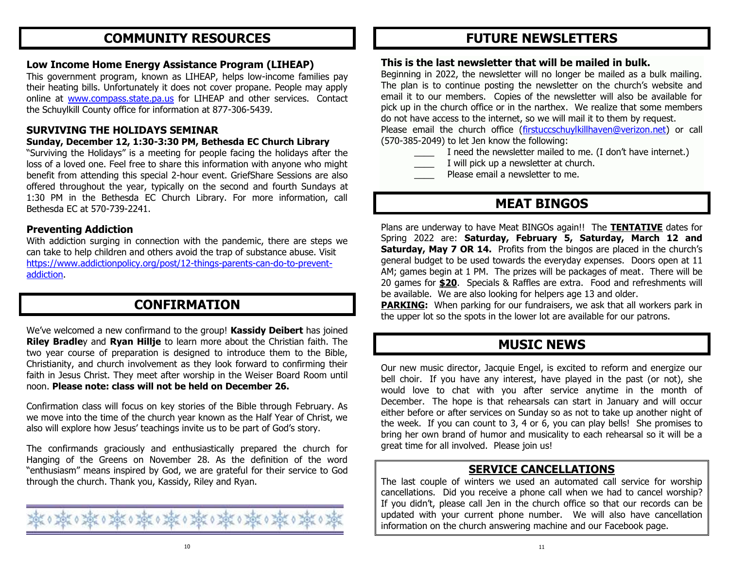# **COMMUNITY RESOURCES**

#### **Low Income Home Energy Assistance Program (LIHEAP)**

This government program, known as LIHEAP, helps low-income families pay their heating bills. Unfortunately it does not cover propane. People may apply online at [www.compass.state.pa.us](http://www.compass.state.pa.us/) for LIHEAP and other services. Contact the Schuylkill County office for information at 877-306-5439.

#### **SURVIVING THE HOLIDAYS SEMINAR**

#### **Sunday, December 12, 1:30-3:30 PM, Bethesda EC Church Library**

"Surviving the Holidays" is a meeting for people facing the holidays after the loss of a loved one. Feel free to share this information with anyone who might benefit from attending this special 2-hour event. GriefShare Sessions are also offered throughout the year, typically on the second and fourth Sundays at 1:30 PM in the Bethesda EC Church Library. For more information, call Bethesda EC at 570-739-2241.

#### **Preventing Addiction**

With addiction surging in connection with the pandemic, there are steps we can take to help children and others avoid the trap of substance abuse. Visit [https://www.addictionpolicy.org/post/12-things-parents-can-do-to-prevent](https://www.addictionpolicy.org/post/12-things-parents-can-do-to-prevent-addiction)[addiction.](https://www.addictionpolicy.org/post/12-things-parents-can-do-to-prevent-addiction)

# **CONFIRMATION**

We've welcomed a new confirmand to the group! **Kassidy Deibert** has joined **Riley Bradle**y and **Ryan Hillje** to learn more about the Christian faith. The two year course of preparation is designed to introduce them to the Bible, Christianity, and church involvement as they look forward to confirming their faith in Jesus Christ. They meet after worship in the Weiser Board Room until noon. **Please note: class will not be held on December 26.**

Confirmation class will focus on key stories of the Bible through February. As we move into the time of the church year known as the Half Year of Christ, we also will explore how Jesus' teachings invite us to be part of God's story.

The confirmands graciously and enthusiastically prepared the church for Hanging of the Greens on November 28. As the definition of the word "enthusiasm" means inspired by God, we are grateful for their service to God through the church. Thank you, Kassidy, Riley and Ryan.



# **FUTURE NEWSLETTERS**

#### **This is the last newsletter that will be mailed in bulk.**

Beginning in 2022, the newsletter will no longer be mailed as a bulk mailing. The plan is to continue posting the newsletter on the church's website and email it to our members. Copies of the newsletter will also be available for pick up in the church office or in the narthex. We realize that some members do not have access to the internet, so we will mail it to them by request.

Please email the church office [\(firstuccschuylkillhaven@verizon.net\)](mailto:firstuccschuylkillhaven@verizon.net) or call (570-385-2049) to let Jen know the following:

- I need the newsletter mailed to me. (I don't have internet.)
- I will pick up a newsletter at church.
- Please email a newsletter to me.

# **MEAT BINGOS**

Plans are underway to have Meat BINGOs again!! The **TENTATIVE** dates for Spring 2022 are: **Saturday, February 5, Saturday, March 12 and Saturday, May 7 OR 14.** Profits from the bingos are placed in the church's general budget to be used towards the everyday expenses. Doors open at 11 AM; games begin at 1 PM. The prizes will be packages of meat. There will be 20 games for **\$20**. Specials & Raffles are extra. Food and refreshments will be available. We are also looking for helpers age 13 and older.

**PARKING:** When parking for our fundraisers, we ask that all workers park in the upper lot so the spots in the lower lot are available for our patrons.

# **MUSIC NEWS**

Our new music director, Jacquie Engel, is excited to reform and energize our bell choir. If you have any interest, have played in the past (or not), she would love to chat with you after service anytime in the month of December. The hope is that rehearsals can start in January and will occur either before or after services on Sunday so as not to take up another night of the week. If you can count to 3, 4 or 6, you can play bells! She promises to bring her own brand of humor and musicality to each rehearsal so it will be a great time for all involved. Please join us!

### **SERVICE CANCELLATIONS**

The last couple of winters we used an automated call service for worship cancellations. Did you receive a phone call when we had to cancel worship? If you didn't, please call Jen in the church office so that our records can be updated with your current phone number. We will also have cancellation information on the church answering machine and our Facebook page.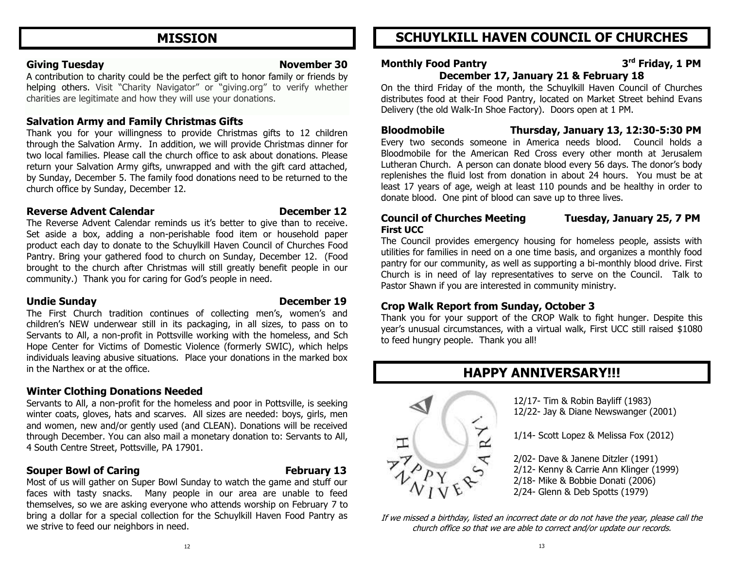# **MISSION**

#### **Giving Tuesday November 30**

A contribution to charity could be the perfect gift to honor family or friends by helping others. Visit "Charity Navigator" or "giving.org" to verify whether charities are legitimate and how they will use your donations.

#### **Salvation Army and Family Christmas Gifts**

Thank you for your willingness to provide Christmas gifts to 12 children through the Salvation Army. In addition, we will provide Christmas dinner for two local families. Please call the church office to ask about donations. Please return your Salvation Army gifts, unwrapped and with the gift card attached, by Sunday, December 5. The family food donations need to be returned to the church office by Sunday, December 12.

#### **Reverse Advent Calendar Construction Reverse Advent Calendar Construction Construction December 12**

The Reverse Advent Calendar reminds us it's better to give than to receive. Set aside a box, adding a non-perishable food item or household paper product each day to donate to the Schuylkill Haven Council of Churches Food Pantry. Bring your gathered food to church on Sunday, December 12. (Food brought to the church after Christmas will still greatly benefit people in our community.) Thank you for caring for God's people in need.

#### **Undie Sunday December 19**

The First Church tradition continues of collecting men's, women's and children's NEW underwear still in its packaging, in all sizes, to pass on to Servants to All, a non-profit in Pottsville working with the homeless, and Sch Hope Center for Victims of Domestic Violence (formerly SWIC), which helps individuals leaving abusive situations. Place your donations in the marked box in the Narthex or at the office.

### **Winter Clothing Donations Needed**

Servants to All, a non-profit for the homeless and poor in Pottsville, is seeking winter coats, gloves, hats and scarves. All sizes are needed: boys, girls, men and women, new and/or gently used (and CLEAN). Donations will be received through December. You can also mail a monetary donation to: Servants to All, 4 South Centre Street, Pottsville, PA 17901.

### **Souper Bowl of Caring Theorem 2018 Tee Souper Bowl of Caring Theorem 2018**

Most of us will gather on Super Bowl Sunday to watch the game and stuff our faces with tasty snacks. Many people in our area are unable to feed themselves, so we are asking everyone who attends worship on February 7 to bring a dollar for a special collection for the Schuylkill Haven Food Pantry as we strive to feed our neighbors in need.

# **SCHUYLKILL HAVEN COUNCIL OF CHURCHES**

#### **Monthly Food Pantry 3 rd Friday, 1 PM December 17, January 21 & February 18**

On the third Friday of the month, the Schuylkill Haven Council of Churches distributes food at their Food Pantry, located on Market Street behind Evans Delivery (the old Walk-In Shoe Factory). Doors open at 1 PM.

**Bloodmobile Thursday, January 13, 12:30-5:30 PM** Every two seconds someone in America needs blood. Council holds a Bloodmobile for the American Red Cross every other month at Jerusalem Lutheran Church. A person can donate blood every 56 days. The donor's body replenishes the fluid lost from donation in about 24 hours. You must be at least 17 years of age, weigh at least 110 pounds and be healthy in order to donate blood. One pint of blood can save up to three lives.

#### **Council of Churches Meeting Tuesday, January 25, 7 PM First UCC**

The Council provides emergency housing for homeless people, assists with utilities for families in need on a one time basis, and organizes a monthly food pantry for our community, as well as supporting a bi-monthly blood drive. First Church is in need of lay representatives to serve on the Council. Talk to Pastor Shawn if you are interested in community ministry.

### **Crop Walk Report from Sunday, October 3**

Thank you for your support of the CROP Walk to fight hunger. Despite this year's unusual circumstances, with a virtual walk, First UCC still raised \$1080 to feed hungry people. Thank you all!



# **HAPPY ANNIVERSARY!!!**

12/17- Tim & Robin Bayliff (1983) 12/22- Jay & Diane Newswanger (2001)

1/14- Scott Lopez & Melissa Fox (2012)

2/02- Dave & Janene Ditzler (1991) 2/12- Kenny & Carrie Ann Klinger (1999) 2/18- Mike & Bobbie Donati (2006) 2/24- Glenn & Deb Spotts (1979)

If we missed a birthday, listed an incorrect date or do not have the year, please call the church office so that we are able to correct and/or update our records.